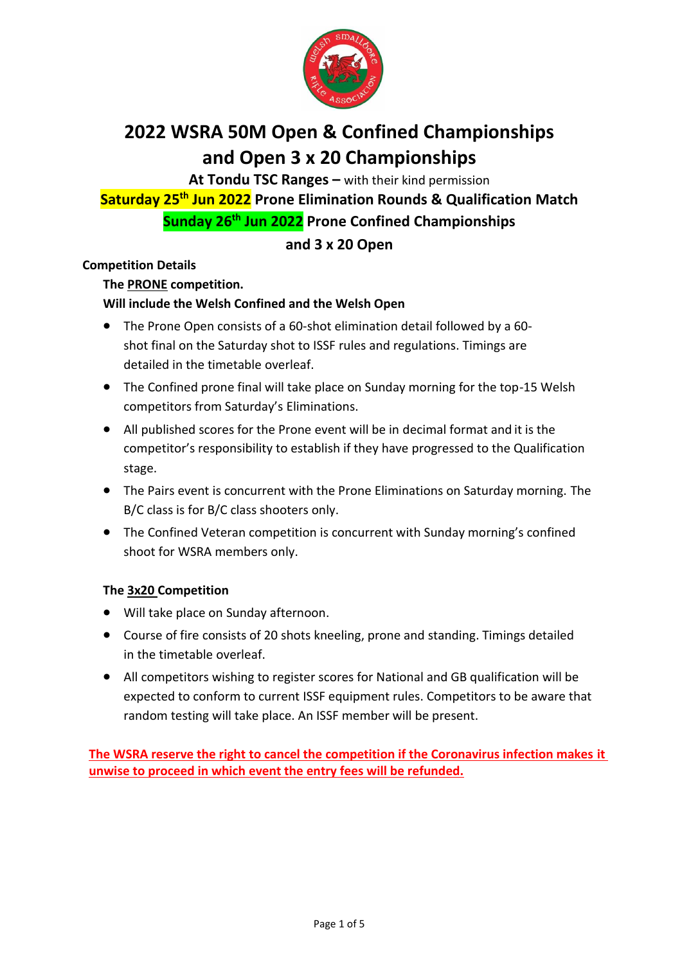

# **2022 WSRA 50M Open & Confined Championships and Open 3 x 20 Championships**

**At Tondu TSC Ranges –** with their kind permission **Saturday 25th Jun 2022 Prone Elimination Rounds & Qualification Match Sunday 26th Jun 2022 Prone Confined Championships**

## **and 3 x 20 Open**

## **Competition Details**

**The PRONE competition.**

## **Will include the Welsh Confined and the Welsh Open**

- The Prone Open consists of a 60-shot elimination detail followed by a 60 shot final on the Saturday shot to ISSF rules and regulations. Timings are detailed in the timetable overleaf.
- The Confined prone final will take place on Sunday morning for the top-15 Welsh competitors from Saturday's Eliminations.
- All published scores for the Prone event will be in decimal format and it is the competitor's responsibility to establish if they have progressed to the Qualification stage.
- The Pairs event is concurrent with the Prone Eliminations on Saturday morning. The B/C class is for B/C class shooters only.
- The Confined Veteran competition is concurrent with Sunday morning's confined shoot for WSRA members only.

## **The 3x20 Competition**

- Will take place on Sunday afternoon.
- Course of fire consists of 20 shots kneeling, prone and standing. Timings detailed in the timetable overleaf.
- All competitors wishing to register scores for National and GB qualification will be expected to conform to current ISSF equipment rules. Competitors to be aware that random testing will take place. An ISSF member will be present.

**The WSRA reserve the right to cancel the competition if the Coronavirus infection makes it unwise to proceed in which event the entry fees will be refunded.**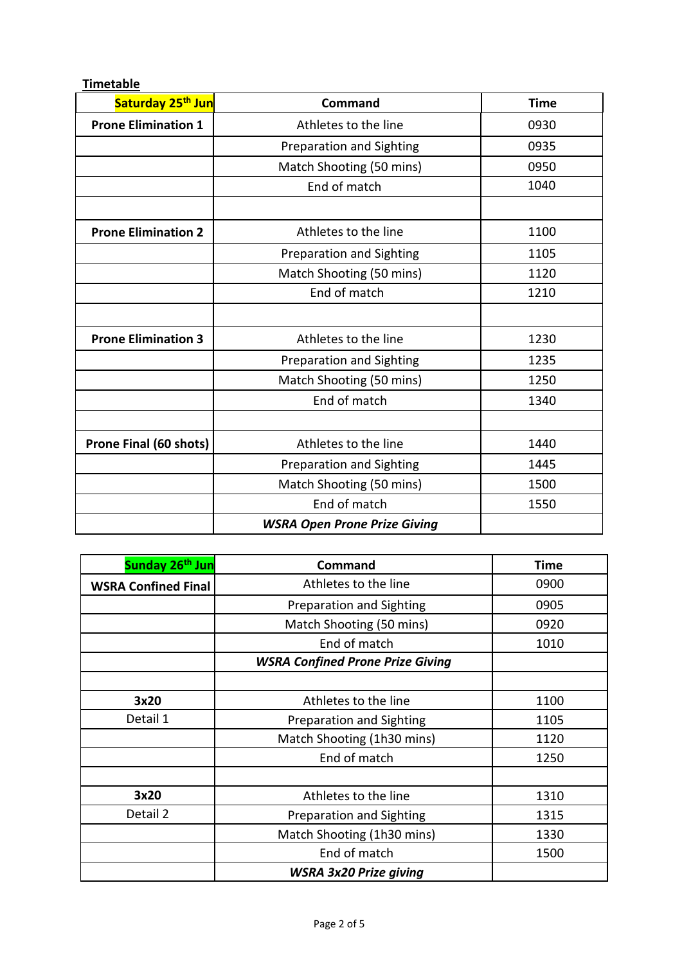| Saturday 25 <sup>th</sup> Jun | <b>Command</b>                      | <b>Time</b> |
|-------------------------------|-------------------------------------|-------------|
| <b>Prone Elimination 1</b>    | Athletes to the line                | 0930        |
|                               | Preparation and Sighting            | 0935        |
|                               | Match Shooting (50 mins)            | 0950        |
|                               | End of match                        | 1040        |
|                               |                                     |             |
| <b>Prone Elimination 2</b>    | Athletes to the line                | 1100        |
|                               | Preparation and Sighting            | 1105        |
|                               | Match Shooting (50 mins)            | 1120        |
|                               | End of match                        | 1210        |
|                               |                                     |             |
| <b>Prone Elimination 3</b>    | Athletes to the line                | 1230        |
|                               | Preparation and Sighting            | 1235        |
|                               | Match Shooting (50 mins)            | 1250        |
|                               | End of match                        | 1340        |
|                               |                                     |             |
| Prone Final (60 shots)        | Athletes to the line                | 1440        |
|                               | <b>Preparation and Sighting</b>     | 1445        |
|                               | Match Shooting (50 mins)            | 1500        |
|                               | End of match                        | 1550        |
|                               | <b>WSRA Open Prone Prize Giving</b> |             |

**Timetable**

| Sunday 26 <sup>th</sup> Jun | Command                                 | <b>Time</b> |
|-----------------------------|-----------------------------------------|-------------|
| <b>WSRA Confined Final</b>  | Athletes to the line                    | 0900        |
|                             | Preparation and Sighting                | 0905        |
|                             | Match Shooting (50 mins)                | 0920        |
|                             | End of match                            | 1010        |
|                             | <b>WSRA Confined Prone Prize Giving</b> |             |
|                             |                                         |             |
| 3x20                        | Athletes to the line                    | 1100        |
| Detail 1                    | Preparation and Sighting                | 1105        |
|                             | Match Shooting (1h30 mins)              | 1120        |
|                             | End of match                            | 1250        |
|                             |                                         |             |
| 3x20                        | Athletes to the line                    | 1310        |
| Detail 2                    | Preparation and Sighting                | 1315        |
|                             | Match Shooting (1h30 mins)              | 1330        |
|                             | End of match                            | 1500        |
|                             | <b>WSRA 3x20 Prize giving</b>           |             |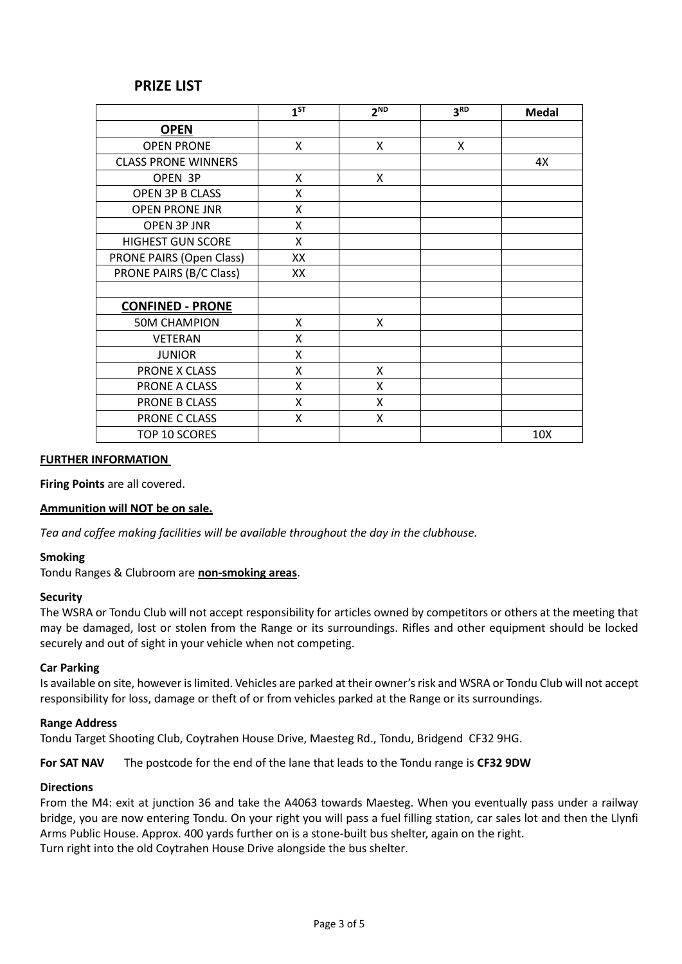## **PRIZE LIST**

|                            | $1^{ST}$ | 2 <sup>ND</sup> | 3 <sup>RD</sup> | <b>Medal</b> |
|----------------------------|----------|-----------------|-----------------|--------------|
| <b>OPEN</b>                |          |                 |                 |              |
| <b>OPEN PRONE</b>          | X        | X               | X               |              |
| <b>CLASS PRONE WINNERS</b> |          |                 |                 | 4X           |
| OPEN 3P                    | X        | X               |                 |              |
| OPEN 3P B CLASS            | X        |                 |                 |              |
| <b>OPEN PRONE JNR</b>      | x        |                 |                 |              |
| <b>OPEN 3P JNR</b>         | X        |                 |                 |              |
| <b>HIGHEST GUN SCORE</b>   | X        |                 |                 |              |
| PRONE PAIRS (Open Class)   | XX       |                 |                 |              |
| PRONE PAIRS (B/C Class)    | XX       |                 |                 |              |
|                            |          |                 |                 |              |
| <b>CONFINED - PRONE</b>    |          |                 |                 |              |
| <b>50M CHAMPION</b>        | X        | X               |                 |              |
| <b>VETERAN</b>             | X        |                 |                 |              |
| <b>JUNIOR</b>              | X        |                 |                 |              |
| PRONE X CLASS              | X        | X               |                 |              |
| PRONE A CLASS              | X        | X               |                 |              |
| PRONE B CLASS              | X        | X               |                 |              |
| PRONE C CLASS              | x        | Χ               |                 |              |
| TOP 10 SCORES              |          |                 |                 | 10X          |

#### **FURTHER INFORMATION**

**Firing Points** are all covered.

#### **Ammunition will NOT be on sale.**

*Tea and coffee making facilities will be available throughout the day in the clubhouse.*

#### **Smoking**

Tondu Ranges & Clubroom are **non-smoking areas**.

#### **Security**

The WSRA or Tondu Club will not accept responsibility for articles owned by competitors or others at the meeting that may be damaged, lost or stolen from the Range or its surroundings. Rifles and other equipment should be locked securely and out of sight in your vehicle when not competing.

#### **Car Parking**

Is available on site, however is limited. Vehicles are parked at their owner's risk and WSRA or Tondu Club will not accept responsibility for loss, damage or theft of or from vehicles parked at the Range or its surroundings.

#### **Range Address**

Tondu Target Shooting Club, Coytrahen House Drive, Maesteg Rd., Tondu, Bridgend CF32 9HG.

**For SAT NAV** The postcode for the end of the lane that leads to the Tondu range is **CF32 9DW**

#### **Directions**

From the M4: exit at junction 36 and take the A4063 towards Maesteg. When you eventually pass under a railway bridge, you are now entering Tondu. On your right you will pass a fuel filling station, car sales lot and then the Llynfi Arms Public House. Approx. 400 yards further on is a stone-built bus shelter, again on the right. Turn right into the old Coytrahen House Drive alongside the bus shelter.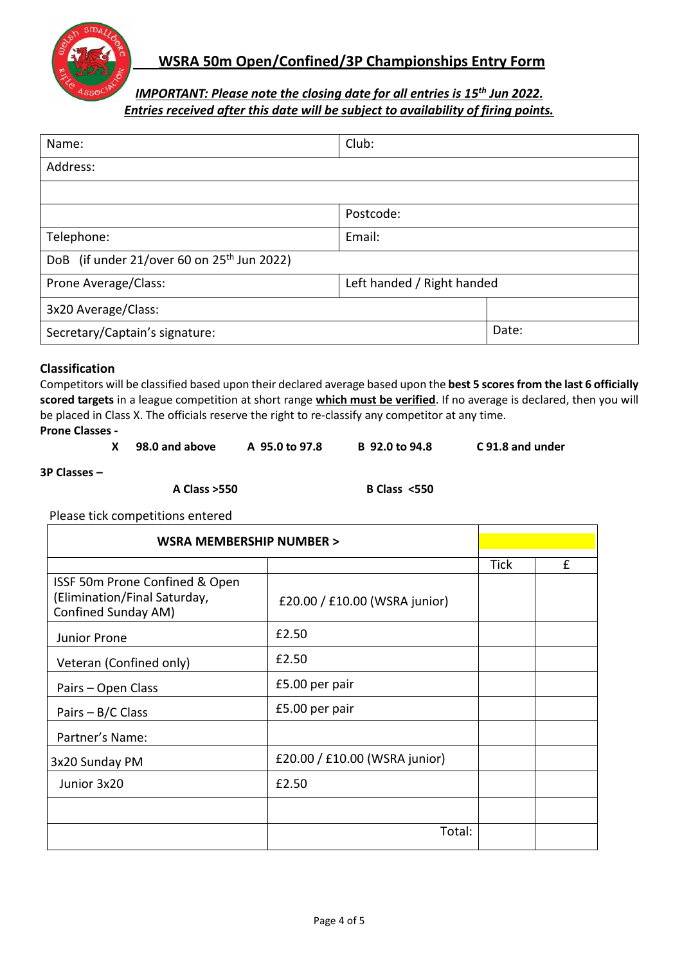

## **WSRA 50m Open/Confined/3P Championships Entry Form**

## *IMPORTANT: Please note the closing date for all entries is 15 th Jun 2022. Entries received after this date will be subject to availability of firing points.*

| Name:                                                  | Club:     |       |  |
|--------------------------------------------------------|-----------|-------|--|
| Address:                                               |           |       |  |
|                                                        |           |       |  |
|                                                        | Postcode: |       |  |
| Telephone:                                             | Email:    |       |  |
| DoB (if under 21/over 60 on 25 <sup>th</sup> Jun 2022) |           |       |  |
| Left handed / Right handed<br>Prone Average/Class:     |           |       |  |
| 3x20 Average/Class:                                    |           |       |  |
| Secretary/Captain's signature:                         |           | Date: |  |

## **Classification**

Competitors will be classified based upon their declared average based upon the **best 5 scores from the last 6 officially scored targets** in a league competition at short range **which must be verified**. If no average is declared, then you will be placed in Class X. The officials reserve the right to re-classify any competitor at any time.

**Prone Classes -**

| X 98.0 and above | A 95.0 to 97.8 | B 92.0 to 94.8 | C 91.8 and under |
|------------------|----------------|----------------|------------------|
|                  |                |                |                  |

**3P Classes –**

**A Class >550 B Class <550**

Please tick competitions entered

| WSRA MEMBERSHIP NUMBER >                                                              |                               |             |   |
|---------------------------------------------------------------------------------------|-------------------------------|-------------|---|
|                                                                                       |                               | <b>Tick</b> | £ |
| ISSF 50m Prone Confined & Open<br>(Elimination/Final Saturday,<br>Confined Sunday AM) | £20.00 / £10.00 (WSRA junior) |             |   |
| Junior Prone                                                                          | £2.50                         |             |   |
| Veteran (Confined only)                                                               | £2.50                         |             |   |
| Pairs - Open Class                                                                    | £5.00 per pair                |             |   |
| Pairs $- B/C$ Class                                                                   | £5.00 per pair                |             |   |
| Partner's Name:                                                                       |                               |             |   |
| 3x20 Sunday PM                                                                        | £20.00 / £10.00 (WSRA junior) |             |   |
| Junior 3x20                                                                           | £2.50                         |             |   |
|                                                                                       |                               |             |   |
|                                                                                       | Total:                        |             |   |